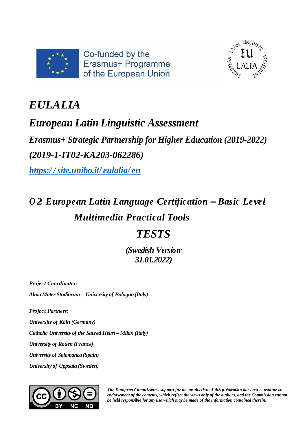



## *EULALIA*

## *European Latin Linguistic Assessment*

*Erasmus+ Strategic Partnership for Higher Education (2019-2022) (2019-1-IT02-KA203-062286)*

*https:/ / [site.unibo.it/](https://site.unibo.it/eulalia/en) eulalia/ en*

# *O 2: European Latin Language Certification – Basic Level Multimedia Practical Tools*

### *TESTS*

*(Swedish Version: 31.01.2022)*

*Projec t Coordinator: AlmaMater Studiorum – University of Bologna (Italy)*

*Projec t Partners:*

*University of Köln (Germany)*

*Catholic University of the Sacred Heart – Milan (Italy)*

*University of Rouen (France)*

*University of Salamanca (Spain)*

*University of Uppsala (Sweden)*



*The European Commission's support for the production of this publication does not constitute an endorsement of the contents, which reflect the views only of the authors, and the Commission cannot be held responsible for any use which may be made of the information contained therein.*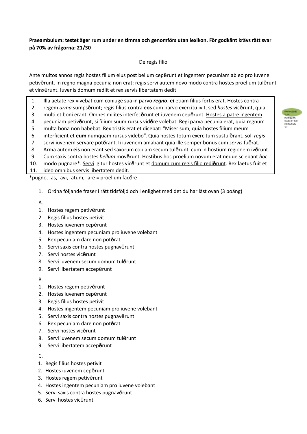#### **Praeambulum: testet äger rum under en timma och genomförs utan lexikon. För godkänt krävs rätt svar på 70% av frågorna: 21/30**

#### De regis filio

Ante multos annos regis hostes filium eius post bellum cepērunt et ingentem pecuniam ab eo pro iuvene petivērunt. In regno magna pecunia non erat; regis servi autem novo modo contra hostes proelium tulērunt et vinxērunt. Iuvenis domum rediit et rex servis libertatem dedit

1. 2. 3. 4. 5. 6. 7. 8. 9. 10. 11. Illa aetate rex vivebat cum coniuge sua in parvo *regno*; **ei** etiam filius fortis erat. Hostes contra regem *arma* sumpsērunt; regis filius contra **eos** cum parvo exercitu ivit, sed *hostes* vicērunt, quia multi et boni erant. Omnes milites interfecērunt et iuvenem cepērunt. Hostes a patre ingentem pecuniam petivērunt, si filium suum rursus vidēre volebat. Regi parva pecunia erat, quia regnum multa bona non habebat. Rex tristis erat et dicebat: "Miser sum, quia hostes filium meum interficient et **eum** numquam rursus videbo". Quia hostes totum exercitum sustulĕrant, soli *regis* servi iuvenem servare potĕrant. Ii iuvenem amabant quia ille semper bonus cum *servis* fuĕrat. Arma autem **eis** non erant sed saxorum copiam secum tulērunt, cum in hostium regionem ivērunt. Cum saxis contra hostes *bellum* movērunt. Hostibus hoc proelium novum erat neque sciebant *hoc* modo pugnare\*. Servi igitur hostes vicērunt et domum cum regis filio rediērunt. Rex laetus fuit et ideo omnibus servis libertatem dedit.

\*pugno, -as, -avi, -atum, -are = proelium facĕre

- 1. Ordna följande fraser i rätt tidsföljd och i enlighet med det du har läst ovan (3 poäng)
- A.
- 1. Hostes regem petivērunt
- 2. Regis filius hostes petivit
- 3. Hostes iuvenem cepērunt
- 4. Hostes ingentem pecuniam pro iuvene volebant
- 5. Rex pecuniam dare non potĕrat
- 6. Servi saxis contra hostes pugnavērunt
- 7. Servi hostes vicērunt
- 8. Servi iuvenem secum domum tulērunt
- 9. Servi libertatem accepērunt
- B.
- 1. Hostes regem petivērunt
- 2. Hostes iuvenem cepērunt
- 3. Regis filius hostes petivit
- 4. Hostes ingentem pecuniam pro iuvene volebant
- 5. Servi saxis contra hostes pugnavērunt
- 6. Rex pecuniam dare non potĕrat
- 7. Servi hostes vicērunt
- 8. Servi iuvenem secum domum tulērunt
- 9. Servi libertatem accepērunt
- C.
- 1. Regis filius hostes petivit
- 2. Hostes iuvenem cepērunt
- 3. Hostes regem petivērunt
- 4. Hostes ingentem pecuniam pro iuvene volebant
- 5. Servi saxis contra hostes pugnavērunt
- 6. Servi hostes vicērunt

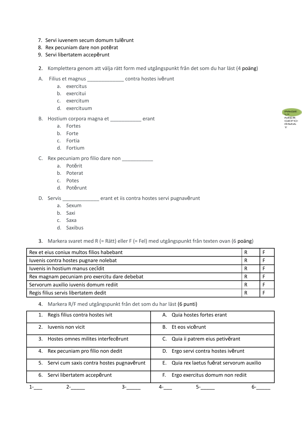- 7. Servi iuvenem secum domum tulērunt
- 8. Rex pecuniam dare non potĕrat
- 9. Servi libertatem accepērunt
- 2. Komplettera genom att välja rätt form med utgångspunkt från det som du har läst (4 poäng)
- A. Filius et magnus \_\_\_\_\_\_\_\_\_\_\_\_\_ contra hostes ivērunt
	- a. exercitus
	- b. exercitui
	- c. exercitum
	- d. exercituum
- B. Hostium corpora magna et \_\_\_\_\_\_\_\_\_\_\_ erant
	- a. Fortes
	- b. Forte
	- c. Fortia
	- d. Fortium
- C. Rex pecuniam pro filio dare non \_\_\_\_\_\_\_\_\_\_\_
	- a. Potĕrit
	- b. Poterat
	- c. Potes
	- d. Potĕrunt
- D. Servis \_\_\_\_\_\_\_\_\_\_\_\_\_\_ erant et iis contra hostes servi pugnavērunt
	- a. Sexum
	- b. Saxi
	- c. Saxa
	- d. Saxibus
- 3. Markera svaret med R (= Rätt) eller F (= Fel) med utgångspunkt från texten ovan (6 poäng)

| Rex et eius coniux multos filios habebant     |   |  |  |  |  |  |
|-----------------------------------------------|---|--|--|--|--|--|
| Iuvenis contra hostes pugnare nolebat         | R |  |  |  |  |  |
| Iuvenis in hostium manus cecidit              | R |  |  |  |  |  |
| Rex magnam pecuniam pro exercitu dare debebat | R |  |  |  |  |  |
| Servorum auxilio iuvenis domum rediit         | R |  |  |  |  |  |
| Regis filius servis libertatem dedit          |   |  |  |  |  |  |

#### 4. Markera R/F med utgångspunkt från det som du har läst (6 punti)

| Regis filius contra hostes ivit              | Quia hostes fortes erant<br>А.             |  |  |  |  |  |  |
|----------------------------------------------|--------------------------------------------|--|--|--|--|--|--|
| Iuvenis non vicit<br>2.                      | Et eos vicērunt<br><b>B.</b>               |  |  |  |  |  |  |
| Hostes omnes milites interfecerunt<br>3.     | C. Quia ii patrem eius petivěrant          |  |  |  |  |  |  |
| Rex pecuniam pro filio non dedit<br>4.       | D. Ergo servi contra hostes ivērunt        |  |  |  |  |  |  |
| 5. Servi cum saxis contra hostes pugnavērunt | E. Quia rex laetus fuerat servorum auxilio |  |  |  |  |  |  |
| Servi libertatem accepērunt<br>6.            | Ergo exercitus domum non rediit<br>F.      |  |  |  |  |  |  |
|                                              | რ.                                         |  |  |  |  |  |  |

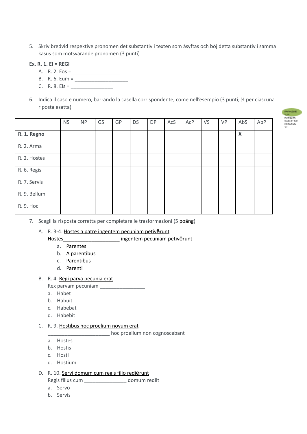5. Skriv bredvid respektive pronomen det substantiv i texten som åsyftas och böj detta substantiv i samma kasus som motsvarande pronomen (3 punti)

#### **Ex. R. 1. EI = REGI**

- A. R. 2. Eos =  $\frac{1}{2}$
- B. R. 6. Eum = \_\_\_\_\_\_\_\_\_\_\_\_\_\_\_\_\_\_\_
- C. R. 8. Eis =  $\qquad \qquad$
- 6. Indica il caso e numero, barrando la casella corrispondente, come nell'esempio (3 punti; ½ per ciascuna riposta esatta)

|              | <b>NS</b> | <b>NP</b> | GS | GP | <b>DS</b> | <b>DP</b> | AcS | AcP | VS | VP | AbS                       | AbP |
|--------------|-----------|-----------|----|----|-----------|-----------|-----|-----|----|----|---------------------------|-----|
| R. 1. Regno  |           |           |    |    |           |           |     |     |    |    | $\boldsymbol{\mathsf{X}}$ |     |
| R. 2. Arma   |           |           |    |    |           |           |     |     |    |    |                           |     |
| R. 2. Hostes |           |           |    |    |           |           |     |     |    |    |                           |     |
| R. 6. Regis  |           |           |    |    |           |           |     |     |    |    |                           |     |
| R. 7. Servis |           |           |    |    |           |           |     |     |    |    |                           |     |
| R. 9. Bellum |           |           |    |    |           |           |     |     |    |    |                           |     |
| R. 9. Hoc    |           |           |    |    |           |           |     |     |    |    |                           |     |

7. Scegli la risposta corretta per completare le trasformazioni (5 poäng)

#### A. R. 3-4. Hostes a patre ingentem pecuniam petivērunt

- Hostes\_\_\_\_\_\_\_\_\_\_\_\_\_\_\_\_\_\_\_\_ ingentem pecuniam petivērunt a. Parentes
	- b. A parentibus
	- c. Parentibus
	- d. Parenti

#### B. R. 4. Regi parva pecunia erat

- Rex parvam pecuniam \_\_\_\_\_\_\_\_\_\_\_\_\_\_\_\_
- a. Habet
- b. Habuit
- c. Habebat
- d. Habebit

#### C. R. 9. Hostibus hoc proelium novum erat

Letter 2011 and the comparison of the component in the component  $\sim$ 

- a. Hostes
- b. Hostis
- c. Hosti
- d. Hostium

#### D. R. 10. Servi domum cum regis filio rediērunt

Regis filius cum \_\_\_\_\_\_\_\_\_\_\_\_\_\_\_ domum rediit

- a. Servo
- b. Servis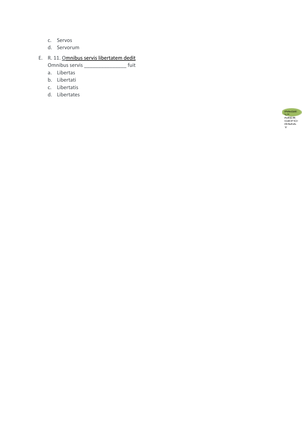- c. Servos
- d. Servorum
- E. R. 11. Omnibus servis libertatem dedit Omnibus servis \_\_\_\_\_\_\_\_\_\_\_\_\_\_\_ fuit
	- a. Libertas
	- b. Libertati
	- c. Libertatis
	- d. Libertates